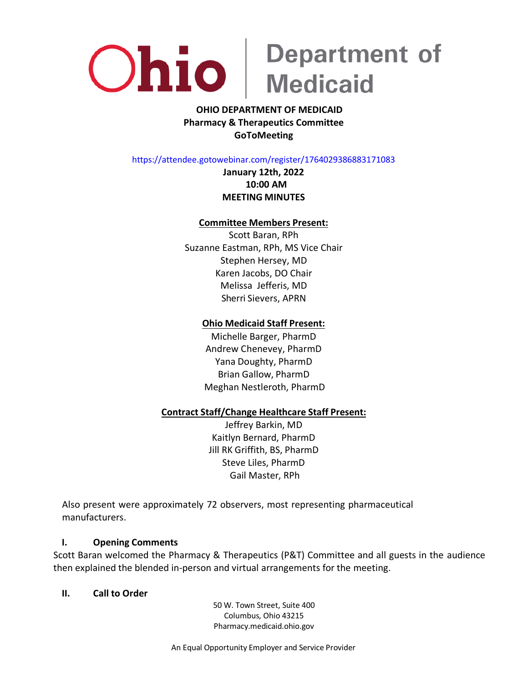

### **OHIO DEPARTMENT OF MEDICAID Pharmacy & Therapeutics Committee GoToMeeting**

https://attendee.gotowebinar.com/register/1764029386883171083

**January 12th, 2022 10:00 AM MEETING MINUTES**

### **Committee Members Present:**

Scott Baran, RPh Suzanne Eastman, RPh, MS Vice Chair Stephen Hersey, MD Karen Jacobs, DO Chair Melissa Jefferis, MD Sherri Sievers, APRN

### **Ohio Medicaid Staff Present:**

Michelle Barger, PharmD Andrew Chenevey, PharmD Yana Doughty, PharmD Brian Gallow, PharmD Meghan Nestleroth, PharmD

### **Contract Staff/Change Healthcare Staff Present:**

Jeffrey Barkin, MD Kaitlyn Bernard, PharmD Jill RK Griffith, BS, PharmD Steve Liles, PharmD Gail Master, RPh

Also present were approximately 72 observers, most representing pharmaceutical manufacturers.

### **I. Opening Comments**

Scott Baran welcomed the Pharmacy & Therapeutics (P&T) Committee and all guests in the audience then explained the blended in-person and virtual arrangements for the meeting.

### **II. Call to Order**

50 W. Town Street, Suite 400 Columbus, Ohio 43215 Pharmacy.medicaid.ohio.gov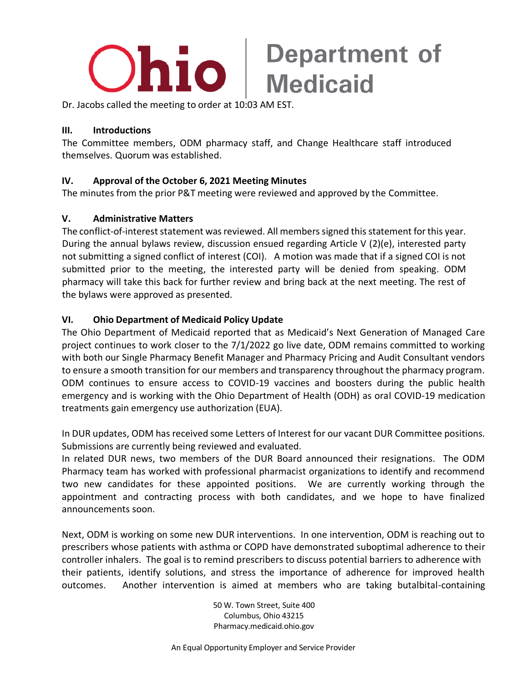

Dr. Jacobs called the meeting to order at 10:03 AM EST.

### **III. Introductions**

The Committee members, ODM pharmacy staff, and Change Healthcare staff introduced themselves. Quorum was established.

### **IV. Approval of the October 6, 2021 Meeting Minutes**

The minutes from the prior P&T meeting were reviewed and approved by the Committee.

### **V. Administrative Matters**

The conflict-of-interest statement was reviewed. All members signed this statement for this year. During the annual bylaws review, discussion ensued regarding Article V (2)(e), interested party not submitting a signed conflict of interest (COI). A motion was made that if a signed COI is not submitted prior to the meeting, the interested party will be denied from speaking. ODM pharmacy will take this back for further review and bring back at the next meeting. The rest of the bylaws were approved as presented.

### **VI. Ohio Department of Medicaid Policy Update**

The Ohio Department of Medicaid reported that as Medicaid's Next Generation of Managed Care project continues to work closer to the 7/1/2022 go live date, ODM remains committed to working with both our Single Pharmacy Benefit Manager and Pharmacy Pricing and Audit Consultant vendors to ensure a smooth transition for our members and transparency throughout the pharmacy program. ODM continues to ensure access to COVID-19 vaccines and boosters during the public health emergency and is working with the Ohio Department of Health (ODH) as oral COVID-19 medication treatments gain emergency use authorization (EUA).

In DUR updates, ODM has received some Letters of Interest for our vacant DUR Committee positions. Submissions are currently being reviewed and evaluated.

In related DUR news, two members of the DUR Board announced their resignations. The ODM Pharmacy team has worked with professional pharmacist organizations to identify and recommend two new candidates for these appointed positions. We are currently working through the appointment and contracting process with both candidates, and we hope to have finalized announcements soon.

Next, ODM is working on some new DUR interventions. In one intervention, ODM is reaching out to prescribers whose patients with asthma or COPD have demonstrated suboptimal adherence to their controller inhalers. The goal is to remind prescribers to discuss potential barriers to adherence with their patients, identify solutions, and stress the importance of adherence for improved health outcomes. Another intervention is aimed at members who are taking butalbital-containing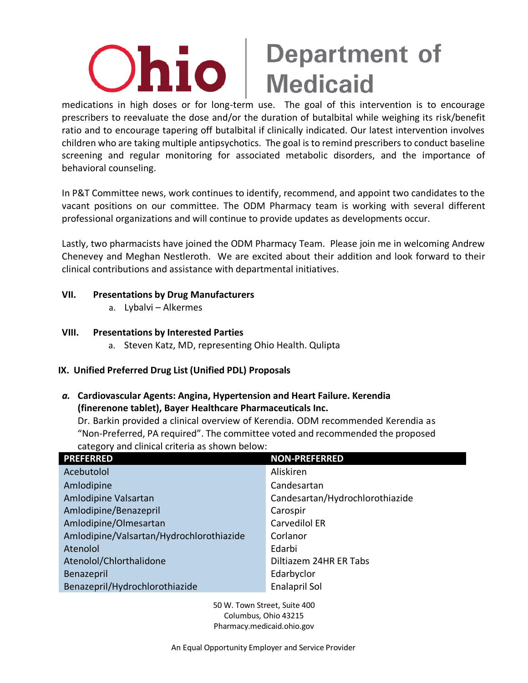## Department of<br>Medicaid Ohio

medications in high doses or for long-term use. The goal of this intervention is to encourage prescribers to reevaluate the dose and/or the duration of butalbital while weighing its risk/benefit ratio and to encourage tapering off butalbital if clinically indicated. Our latest intervention involves children who are taking multiple antipsychotics. The goal is to remind prescribers to conduct baseline screening and regular monitoring for associated metabolic disorders, and the importance of behavioral counseling.

In P&T Committee news, work continues to identify, recommend, and appoint two candidates to the vacant positions on our committee. The ODM Pharmacy team is working with several different professional organizations and will continue to provide updates as developments occur.

Lastly, two pharmacists have joined the ODM Pharmacy Team. Please join me in welcoming Andrew Chenevey and Meghan Nestleroth. We are excited about their addition and look forward to their clinical contributions and assistance with departmental initiatives.

### **VII. Presentations by Drug Manufacturers**

a. Lybalvi – Alkermes

### **VIII. Presentations by Interested Parties**

a. Steven Katz, MD, representing Ohio Health. Qulipta

### **IX. Unified Preferred Drug List (Unified PDL) Proposals**

*a.* **Cardiovascular Agents: Angina, Hypertension and Heart Failure. Kerendia (finerenone tablet), Bayer Healthcare Pharmaceuticals Inc.**

Dr. Barkin provided a clinical overview of Kerendia. ODM recommended Kerendia as "Non-Preferred, PA required". The committee voted and recommended the proposed category and clinical criteria as shown below:

| <b>PREFERRED</b>                         | <b>NON-PREFERRED</b>            |
|------------------------------------------|---------------------------------|
| Acebutolol                               | Aliskiren                       |
| Amlodipine                               | Candesartan                     |
| Amlodipine Valsartan                     | Candesartan/Hydrochlorothiazide |
| Amlodipine/Benazepril                    | Carospir                        |
| Amlodipine/Olmesartan                    | Carvedilol ER                   |
| Amlodipine/Valsartan/Hydrochlorothiazide | Corlanor                        |
| Atenolol                                 | Edarbi                          |
| Atenolol/Chlorthalidone                  | Diltiazem 24HR ER Tabs          |
| Benazepril                               | Edarbyclor                      |
| Benazepril/Hydrochlorothiazide           | <b>Enalapril Sol</b>            |
|                                          |                                 |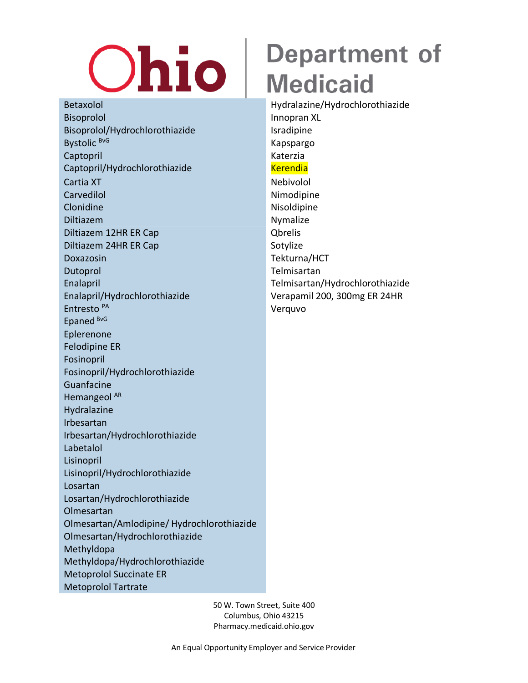# **Ohio**

Betaxolol Hydralazine/Hydrochlorothiazide Bisoprolol **Innopran XL** Bisoprolol/Hydrochlorothiazide Isradipine Bystolic <sup>BvG</sup> Kapspargo Captopril Katerzia Captopril/Hydrochlorothiazide Kerendia Cartia XT Nebivolol Carvedilol **Nimodipine** Clonidine Nisolalpine Nisolalpine Diltiazem Nymalize Diltiazem 12HR ER Cap Qbrelis Diltiazem 24HR ER Cap Sotylize Doxazosin Tekturna/HCT Dutoprol **Telmisartan** Enalapril Telmisartan/Hydrochlorothiazide Enalapril/Hydrochlorothiazide Verapamil 200, 300mg ER 24HR Entresto <sup>PA</sup> Verquvo Epaned BvG Eplerenone Felodipine ER Fosinopril Fosinopril/Hydrochlorothiazide Guanfacine Hemangeol<sup>AR</sup> Hydralazine Irbesartan Irbesartan/Hydrochlorothiazide Labetalol Lisinopril Lisinopril/Hydrochlorothiazide Losartan Losartan/Hydrochlorothiazide Olmesartan Olmesartan/Amlodipine/ Hydrochlorothiazide Olmesartan/Hydrochlorothiazide Methyldopa Methyldopa/Hydrochlorothiazide Metoprolol Succinate ER Metoprolol Tartrate

## **Department of Medicaid**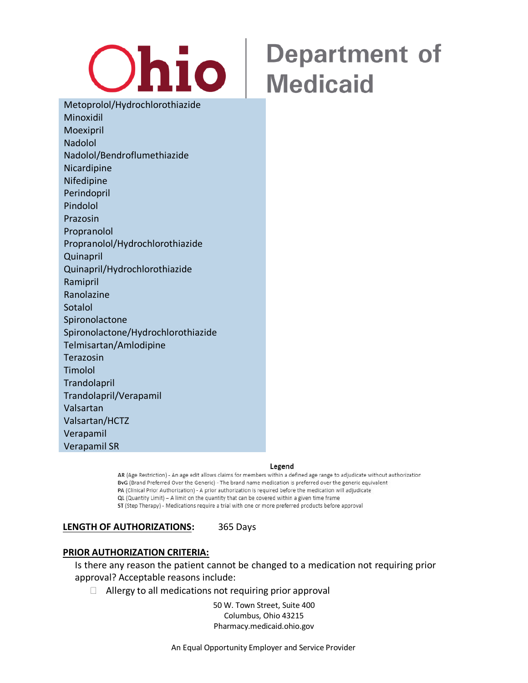

Metoprolol/Hydrochlorothiazide Minoxidil Moexipril Nadolol Nadolol/Bendroflumethiazide Nicardipine Nifedipine Perindopril Pindolol Prazosin Propranolol Propranolol/Hydrochlorothiazide Quinapril Quinapril/Hydrochlorothiazide Ramipril Ranolazine Sotalol Spironolactone Spironolactone/Hydrochlorothiazide Telmisartan/Amlodipine Terazosin Timolol **Trandolapril** Trandolapril/Verapamil Valsartan Valsartan/HCTZ Verapamil Verapamil SR

#### Legend

AR (Age Restriction) - An age edit allows claims for members within a defined age range to adjudicate without authorization BvG (Brand Preferred Over the Generic) - The brand name medication is preferred over the generic equivalent PA (Clinical Prior Authorization) - A prior authorization is required before the medication will adjudicate QL (Quantity Limit) - A limit on the quantity that can be covered within a given time frame ST (Step Therapy) - Medications require a trial with one or more preferred products before approval

**LENGTH OF AUTHORIZATIONS:** 365 Days

#### **PRIOR AUTHORIZATION CRITERIA:**

Is there any reason the patient cannot be changed to a medication not requiring prior approval? Acceptable reasons include:

 $\Box$  Allergy to all medications not requiring prior approval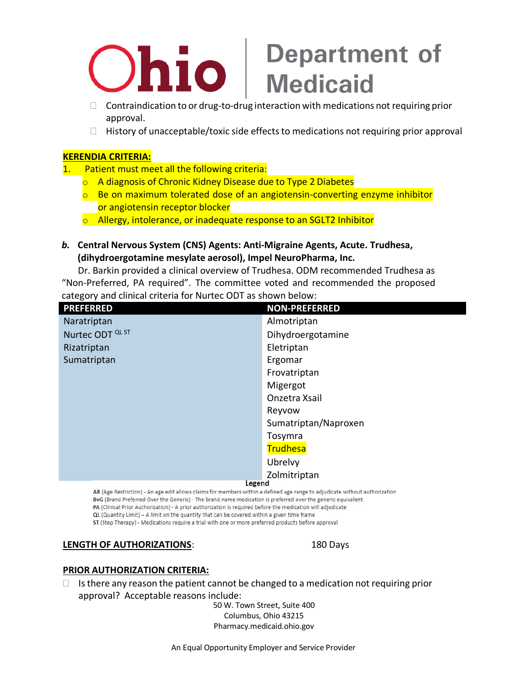# **Contraindication to or drug-to-drug interaction with medications not requiring prior**

- approval.
- $\Box$  History of unacceptable/toxic side effects to medications not requiring prior approval

### **KERENDIA CRITERIA:**

- 1. Patient must meet all the following criteria:
	- $\circ$  A diagnosis of Chronic Kidney Disease due to Type 2 Diabetes
	- $\circ$  Be on maximum tolerated dose of an angiotensin-converting enzyme inhibitor
	- or angiotensin receptor blocker
	- o Allergy, intolerance, or inadequate response to an SGLT2 Inhibitor
- *b.* **Central Nervous System (CNS) Agents: Anti-Migraine Agents, Acute. Trudhesa, (dihydroergotamine mesylate aerosol), Impel NeuroPharma, Inc.**

Dr. Barkin provided a clinical overview of Trudhesa. ODM recommended Trudhesa as "Non-Preferred, PA required". The committee voted and recommended the proposed category and clinical criteria for Nurtec ODT as shown below:

| <b>PREFERRED</b>            | <b>NON-PREFERRED</b> |
|-----------------------------|----------------------|
| Naratriptan                 | Almotriptan          |
| Nurtec ODT <sup>QL ST</sup> | Dihydroergotamine    |
| Rizatriptan                 | Eletriptan           |
| Sumatriptan                 | Ergomar              |
|                             | Frovatriptan         |
|                             | Migergot             |
|                             | Onzetra Xsail        |
|                             | Reyvow               |
|                             | Sumatriptan/Naproxen |
|                             | Tosymra              |
|                             | Trudhesa             |
|                             | Ubrelvy              |
|                             | Zolmitriptan         |
| Legend                      |                      |

AR (Age Restriction) - An age edit allows claims for members within a defined age range to adjudicate without authorization BvG (Brand Preferred Over the Generic) - The brand name medication is preferred over the generic equivalent PA (Clinical Prior Authorization) - A prior authorization is required before the medication will adjudicate QL (Quantity Limit) - A limit on the quantity that can be covered within a given time frame ST (Step Therapy) - Medications require a trial with one or more preferred products before approval

### **LENGTH OF AUTHORIZATIONS**: 180 Days

### **PRIOR AUTHORIZATION CRITERIA:**

 $\Box$  Is there any reason the patient cannot be changed to a medication not requiring prior approval? Acceptable reasons include: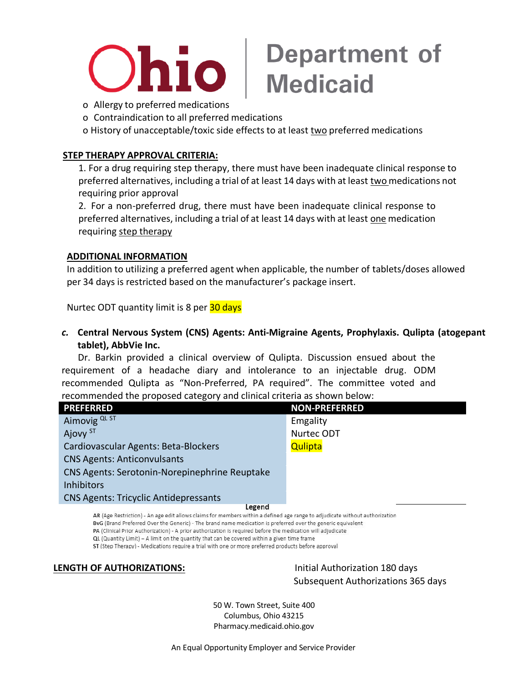

# **Ohio** Pepartment of

- 
- o Contraindication to all preferred medications

o History of unacceptable/toxic side effects to at least two preferred medications

### **STEP THERAPY APPROVAL CRITERIA:**

1. For a drug requiring step therapy, there must have been inadequate clinical response to preferred alternatives, including a trial of at least 14 days with at least two medications not requiring prior approval

2. For a non-preferred drug, there must have been inadequate clinical response to preferred alternatives, including a trial of at least 14 days with at least one medication requiring step therapy

### **ADDITIONAL INFORMATION**

In addition to utilizing a preferred agent when applicable, the number of tablets/doses allowed per 34 days is restricted based on the manufacturer's package insert.

Nurtec ODT quantity limit is 8 per 30 days

*c.* **Central Nervous System (CNS) Agents: Anti-Migraine Agents, Prophylaxis. Qulipta (atogepant tablet), AbbVie Inc.**

Dr. Barkin provided a clinical overview of Qulipta. Discussion ensued about the requirement of a headache diary and intolerance to an injectable drug. ODM recommended Qulipta as "Non-Preferred, PA required". The committee voted and recommended the proposed category and clinical criteria as shown below:

| <b>PREFERRED</b>                                                                                                                              | <b>NON-PREFERRED</b> |
|-----------------------------------------------------------------------------------------------------------------------------------------------|----------------------|
| Aimovig QL ST                                                                                                                                 | Emgality             |
| Ajovy <sup>ST</sup>                                                                                                                           | Nurtec ODT           |
| Cardiovascular Agents: Beta-Blockers                                                                                                          | Qulipta              |
| <b>CNS Agents: Anticonvulsants</b>                                                                                                            |                      |
| CNS Agents: Serotonin-Norepinephrine Reuptake                                                                                                 |                      |
| <b>Inhibitors</b>                                                                                                                             |                      |
| <b>CNS Agents: Tricyclic Antidepressants</b>                                                                                                  |                      |
| Legend<br>An IALL Notable of the computer of the change of the contract of the collection of the contract of the collection of the collection |                      |

AR (Age Restriction) - An age edit allows claims for members within a defined age range to adjudicate without authorization BvG (Brand Preferred Over the Generic) - The brand name medication is preferred over the generic equivalent PA (Clinical Prior Authorization) - A prior authorization is required before the medication will adjudicate

QL (Quantity Limit) - A limit on the quantity that can be covered within a given time frame

ST (Step Therapy) - Medications require a trial with one or more preferred products before approval

**LENGTH OF AUTHORIZATIONS:** Initial Authorization 180 days

Subsequent Authorizations 365 days

50 W. Town Street, Suite 400 Columbus, Ohio 43215 Pharmacy.medicaid.ohio.gov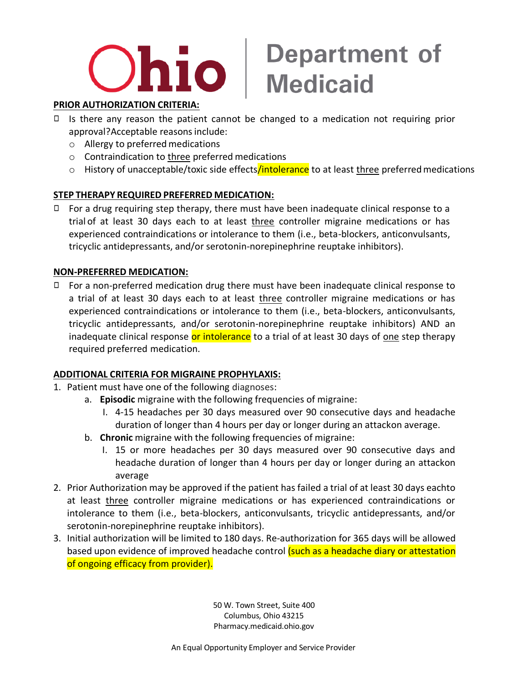

### **PRIOR AUTHORIZATION CRITERIA:**

- ◻ Is there any reason the patient cannot be changed to a medication not requiring prior approval?Acceptable reasons include:
	- $\circ$  Allergy to preferred medications
	- o Contraindication to three preferred medications
	- o History of unacceptable/toxic side effects/intolerance to at least three preferred medications

### **STEP THERAPY REQUIRED PREFERRED MEDICATION:**

 $\Box$  For a drug requiring step therapy, there must have been inadequate clinical response to a trial of at least 30 days each to at least three controller migraine medications or has experienced contraindications or intolerance to them (i.e., beta-blockers, anticonvulsants, tricyclic antidepressants, and/or serotonin-norepinephrine reuptake inhibitors).

### **NON-PREFERRED MEDICATION:**

◻ For a non-preferred medication drug there must have been inadequate clinical response to a trial of at least 30 days each to at least three controller migraine medications or has experienced contraindications or intolerance to them (i.e., beta-blockers, anticonvulsants, tricyclic antidepressants, and/or serotonin-norepinephrine reuptake inhibitors) AND an inadequate clinical response or intolerance to a trial of at least 30 days of one step therapy required preferred medication.

### **ADDITIONAL CRITERIA FOR MIGRAINE PROPHYLAXIS:**

- 1. Patient must have one of the following diagnoses:
	- a. **Episodic** migraine with the following frequencies of migraine:
		- I. 4-15 headaches per 30 days measured over 90 consecutive days and headache duration of longer than 4 hours per day or longer during an attackon average.
	- b. **Chronic** migraine with the following frequencies of migraine:
		- I. 15 or more headaches per 30 days measured over 90 consecutive days and headache duration of longer than 4 hours per day or longer during an attackon average
- 2. Prior Authorization may be approved if the patient has failed a trial of at least 30 days eachto at least three controller migraine medications or has experienced contraindications or intolerance to them (i.e., beta-blockers, anticonvulsants, tricyclic antidepressants, and/or serotonin-norepinephrine reuptake inhibitors).
- 3. Initial authorization will be limited to 180 days. Re-authorization for 365 days will be allowed based upon evidence of improved headache control (such as a headache diary or attestation of ongoing efficacy from provider).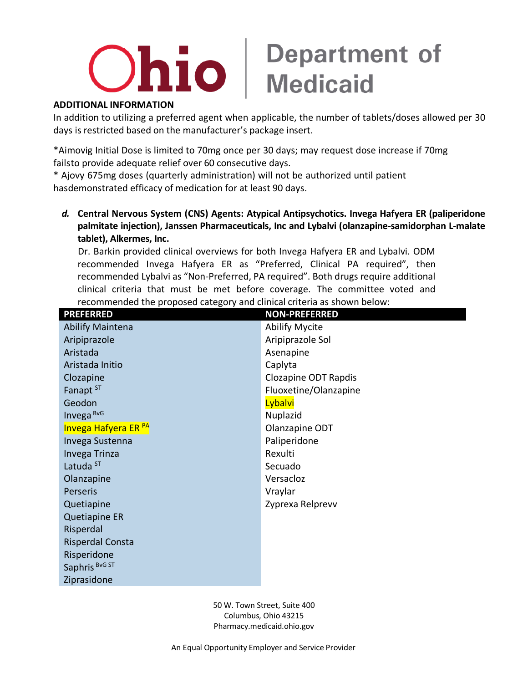## $\mathbf{O}$   $\mathbf{ho}$   $\vert$  Department of

### **ADDITIONAL INFORMATION**

In addition to utilizing a preferred agent when applicable, the number of tablets/doses allowed per 30 days is restricted based on the manufacturer's package insert.

\*Aimovig Initial Dose is limited to 70mg once per 30 days; may request dose increase if 70mg failsto provide adequate relief over 60 consecutive days.

\* Ajovy 675mg doses (quarterly administration) will not be authorized until patient hasdemonstrated efficacy of medication for at least 90 days.

*d.* **Central Nervous System (CNS) Agents: Atypical Antipsychotics. Invega Hafyera ER (paliperidone palmitate injection), Janssen Pharmaceuticals, Inc and Lybalvi (olanzapine-samidorphan L-malate tablet), Alkermes, Inc.**

Dr. Barkin provided clinical overviews for both Invega Hafyera ER and Lybalvi. ODM recommended Invega Hafyera ER as "Preferred, Clinical PA required", then recommended Lybalvi as "Non-Preferred, PA required". Both drugs require additional clinical criteria that must be met before coverage. The committee voted and recommended the proposed category and clinical criteria as shown below:

| <b>PREFERRED</b>        | <b>NON-PREFERRED</b>  |
|-------------------------|-----------------------|
| <b>Abilify Maintena</b> | <b>Abilify Mycite</b> |
| Aripiprazole            | Aripiprazole Sol      |
| Aristada                | Asenapine             |
| Aristada Initio         | Caplyta               |
| Clozapine               | Clozapine ODT Rapdis  |
| Fanapt ST               | Fluoxetine/Olanzapine |
| Geodon                  | Lybalvi               |
| Invega BvG              | Nuplazid              |
| Invega Hafyera ER PA    | Olanzapine ODT        |
| Invega Sustenna         | Paliperidone          |
| Invega Trinza           | Rexulti               |
| Latuda <sup>ST</sup>    | Secuado               |
| Olanzapine              | Versacloz             |
| Perseris                | Vraylar               |
| Quetiapine              | Zyprexa Relprevv      |
| Quetiapine ER           |                       |
| Risperdal               |                       |
| <b>Risperdal Consta</b> |                       |
| Risperidone             |                       |
| Saphris BvG ST          |                       |
| Ziprasidone             |                       |
|                         |                       |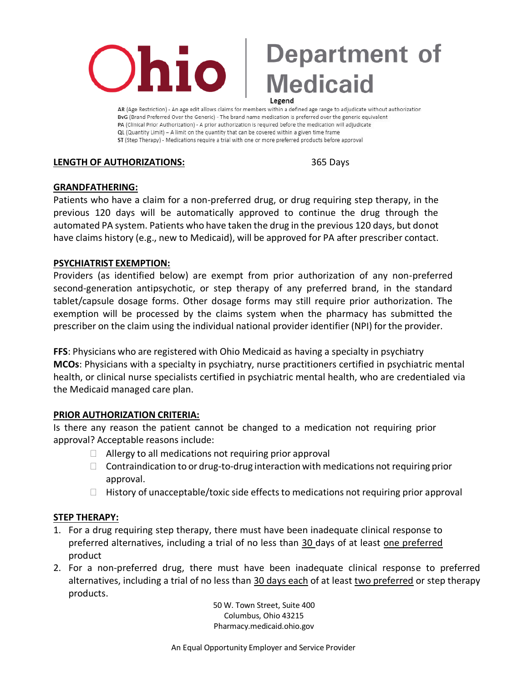

AR (Age Restriction) - An age edit allows claims for members within a defined age range to adjudicate without authorization ByG (Brand Preferred Over the Generic) - The brand name medication is preferred over the generic equivalent PA (Clinical Prior Authorization) - A prior authorization is required before the medication will adjudicate QL (Quantity Limit) - A limit on the quantity that can be covered within a given time frame ST (Step Therapy) - Medications require a trial with one or more preferred products before approval

**LENGTH OF AUTHORIZATIONS:** 365 Days

### **GRANDFATHERING:**

Patients who have a claim for a non-preferred drug, or drug requiring step therapy, in the previous 120 days will be automatically approved to continue the drug through the automated PA system. Patients who have taken the drug in the previous 120 days, but donot have claims history (e.g., new to Medicaid), will be approved for PA after prescriber contact.

### **PSYCHIATRIST EXEMPTION:**

Providers (as identified below) are exempt from prior authorization of any non-preferred second-generation antipsychotic, or step therapy of any preferred brand, in the standard tablet/capsule dosage forms. Other dosage forms may still require prior authorization. The exemption will be processed by the claims system when the pharmacy has submitted the prescriber on the claim using the individual national provider identifier (NPI) for the provider.

**FFS**: Physicians who are registered with Ohio Medicaid as having a specialty in psychiatry **MCOs**: Physicians with a specialty in psychiatry, nurse practitioners certified in psychiatric mental health, or clinical nurse specialists certified in psychiatric mental health, who are credentialed via the Medicaid managed care plan.

### **PRIOR AUTHORIZATION CRITERIA:**

Is there any reason the patient cannot be changed to a medication not requiring prior approval? Acceptable reasons include:

- $\Box$  Allergy to all medications not requiring prior approval
- $\Box$  Contraindication to or drug-to-drug interaction with medications not requiring prior approval.
- $\Box$  History of unacceptable/toxic side effects to medications not requiring prior approval

### **STEP THERAPY:**

- 1. For a drug requiring step therapy, there must have been inadequate clinical response to preferred alternatives, including a trial of no less than 30 days of at least one preferred product
- 2. For a non-preferred drug, there must have been inadequate clinical response to preferred alternatives, including a trial of no less than 30 days each of at least two preferred or step therapy products.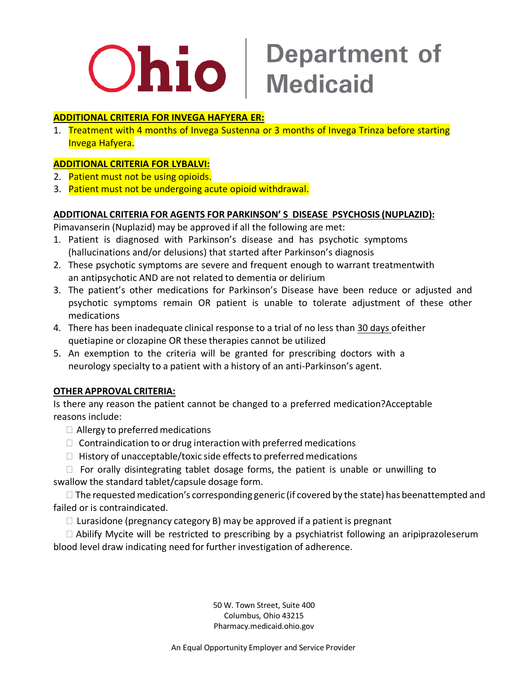

## **Ohio** Medicaid

### **ADDITIONAL CRITERIA FOR INVEGA HAFYERA ER:**

1. Treatment with 4 months of Invega Sustenna or 3 months of Invega Trinza before starting Invega Hafyera.

### **ADDITIONAL CRITERIA FOR LYBALVI:**

- 2. Patient must not be using opioids.
- 3. Patient must not be undergoing acute opioid withdrawal.

### **ADDITIONAL CRITERIA FOR AGENTS FOR PARKINSON' S DISEASE PSYCHOSIS (NUPLAZID):**

Pimavanserin (Nuplazid) may be approved if all the following are met:

- 1. Patient is diagnosed with Parkinson's disease and has psychotic symptoms (hallucinations and/or delusions) that started after Parkinson's diagnosis
- 2. These psychotic symptoms are severe and frequent enough to warrant treatmentwith an antipsychotic AND are not related to dementia or delirium
- 3. The patient's other medications for Parkinson's Disease have been reduce or adjusted and psychotic symptoms remain OR patient is unable to tolerate adjustment of these other medications
- 4. There has been inadequate clinical response to a trial of no less than 30 days ofeither quetiapine or clozapine OR these therapies cannot be utilized
- 5. An exemption to the criteria will be granted for prescribing doctors with a neurology specialty to a patient with a history of an anti-Parkinson's agent.

### **OTHER APPROVAL CRITERIA:**

Is there any reason the patient cannot be changed to a preferred medication?Acceptable reasons include:

- $\Box$  Allergy to preferred medications
- $\Box$  Contraindication to or drug interaction with preferred medications
- $\Box$  History of unacceptable/toxic side effects to preferred medications

 $\Box$  For orally disintegrating tablet dosage forms, the patient is unable or unwilling to swallow the standard tablet/capsule dosage form.

 $\Box$  The requested medication's corresponding generic (if covered by the state) has beenattempted and failed or is contraindicated.

 $\Box$  Lurasidone (pregnancy category B) may be approved if a patient is pregnant

 $\Box$  Abilify Mycite will be restricted to prescribing by a psychiatrist following an aripiprazoleserum blood level draw indicating need for further investigation of adherence.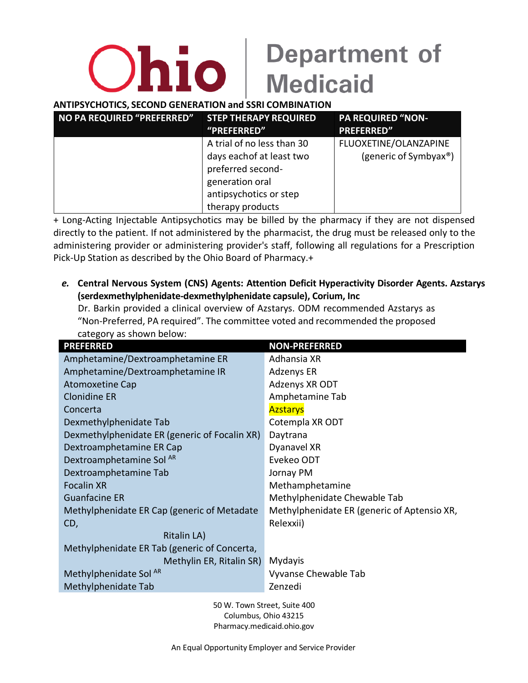### **ANTIPSYCHOTICS, SECOND GENERATION and SSRI COMBINATION**

| NO PA REQUIRED "PREFERRED" | <b>STEP THERAPY REQUIRED</b> | <b>PA REQUIRED "NON-</b> |
|----------------------------|------------------------------|--------------------------|
|                            | "PREFERRED"                  | <b>PREFERRED"</b>        |
|                            | A trial of no less than 30   | FLUOXETINE/OLANZAPINE    |
|                            | days each of at least two    | (generic of Symbyax®)    |
|                            | preferred second-            |                          |
|                            | generation oral              |                          |
|                            | antipsychotics or step       |                          |
|                            | therapy products             |                          |

+ Long-Acting Injectable Antipsychotics may be billed by the pharmacy if they are not dispensed directly to the patient. If not administered by the pharmacist, the drug must be released only to the administering provider or administering provider's staff, following all regulations for a Prescription Pick-Up Station as described by the Ohio Board of Pharmacy.+

*e.* **Central Nervous System (CNS) Agents: Attention Deficit Hyperactivity Disorder Agents. Azstarys (serdexmethylphenidate-dexmethylphenidate capsule), Corium, Inc** Dr. Barkin provided a clinical overview of Azstarys. ODM recommended Azstarys as

"Non-Preferred, PA required". The committee voted and recommended the proposed category as shown below:

| <b>PREFERRED</b>                              | <b>NON-PREFERRED</b>                        |
|-----------------------------------------------|---------------------------------------------|
| Amphetamine/Dextroamphetamine ER              | Adhansia XR                                 |
| Amphetamine/Dextroamphetamine IR              | Adzenys ER                                  |
| <b>Atomoxetine Cap</b>                        | Adzenys XR ODT                              |
| <b>Clonidine ER</b>                           | Amphetamine Tab                             |
| Concerta                                      | <b>Azstarys</b>                             |
| Dexmethylphenidate Tab                        | Cotempla XR ODT                             |
| Dexmethylphenidate ER (generic of Focalin XR) | Daytrana                                    |
| Dextroamphetamine ER Cap                      | Dyanavel XR                                 |
| Dextroamphetamine Sol AR                      | Evekeo ODT                                  |
| Dextroamphetamine Tab                         | Jornay PM                                   |
| <b>Focalin XR</b>                             | Methamphetamine                             |
| <b>Guanfacine ER</b>                          | Methylphenidate Chewable Tab                |
| Methylphenidate ER Cap (generic of Metadate   | Methylphenidate ER (generic of Aptensio XR, |
| CD,                                           | Relexxii)                                   |
| Ritalin LA)                                   |                                             |
| Methylphenidate ER Tab (generic of Concerta,  |                                             |
| Methylin ER, Ritalin SR)                      | Mydayis                                     |
| Methylphenidate Sol <sup>AR</sup>             | Vyvanse Chewable Tab                        |
| Methylphenidate Tab                           | Zenzedi                                     |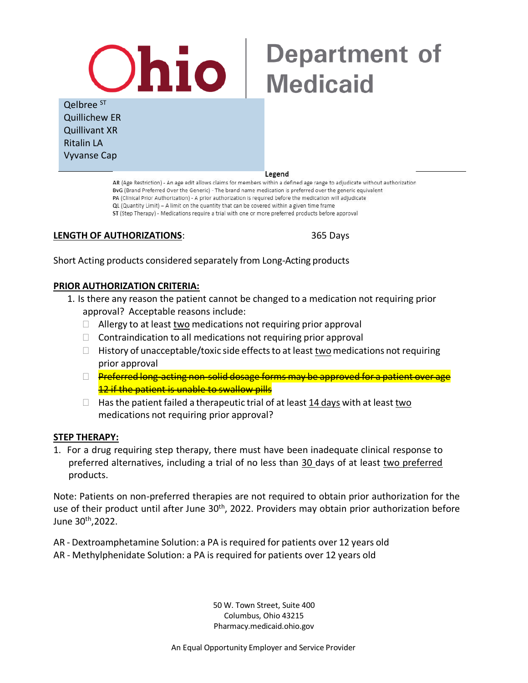# **Ohio** |

### Qelbree ST Quillichew ER Quillivant XR Ritalin LA Vyvanse Cap

#### Legend

AR (Age Restriction) - An age edit allows claims for members within a defined age range to adjudicate without authorization BvG (Brand Preferred Over the Generic) - The brand name medication is preferred over the generic equivalent PA (Clinical Prior Authorization) - A prior authorization is required before the medication will adjudicate QL (Quantity Limit) - A limit on the quantity that can be covered within a given time frame ST (Step Therapy) - Medications require a trial with one or more preferred products before approval

### **LENGTH OF AUTHORIZATIONS**: 365 Days

**Department of** 

**Medicaid** 

Short Acting products considered separately from Long-Acting products

### **PRIOR AUTHORIZATION CRITERIA:**

- 1. Is there any reason the patient cannot be changed to a medication not requiring prior approval? Acceptable reasons include:
	- $\Box$  Allergy to at least two medications not requiring prior approval
	- $\Box$  Contraindication to all medications not requiring prior approval
	- $\Box$  History of unacceptable/toxic side effects to at least two medications not requiring prior approval
	- $\Box$  Preferred long-acting non-solid dosage forms may be approved for a patient over age 12 if the patient is unable to swallow pills
	- $\Box$  Has the patient failed a therapeutic trial of at least 14 days with at least two medications not requiring prior approval?

### **STEP THERAPY:**

1. For a drug requiring step therapy, there must have been inadequate clinical response to preferred alternatives, including a trial of no less than 30 days of at least two preferred products.

Note: Patients on non-preferred therapies are not required to obtain prior authorization for the use of their product until after June 30<sup>th</sup>, 2022. Providers may obtain prior authorization before June 30th ,2022.

AR - Dextroamphetamine Solution: a PA is required for patients over 12 years old

AR - Methylphenidate Solution: a PA is required for patients over 12 years old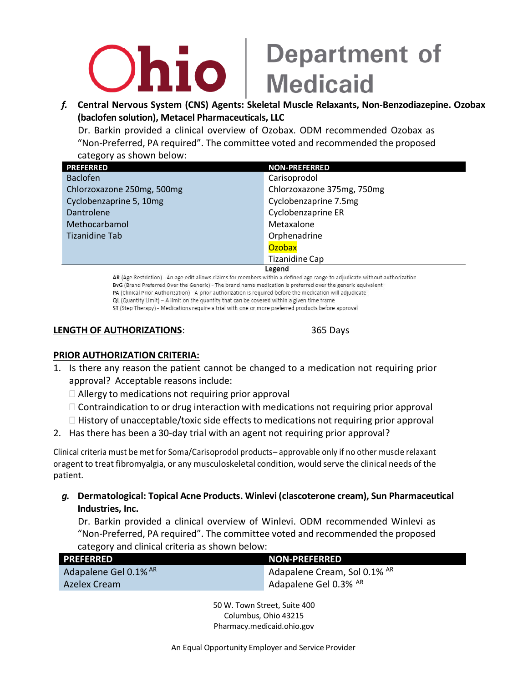## **Thio**

# **Department of<br>Medicaid**

*f.* **Central Nervous System (CNS) Agents: Skeletal Muscle Relaxants, Non-Benzodiazepine. Ozobax (baclofen solution), Metacel Pharmaceuticals, LLC**

Dr. Barkin provided a clinical overview of Ozobax. ODM recommended Ozobax as "Non-Preferred, PA required". The committee voted and recommended the proposed category as shown below:

| <b>PREFERRED</b>                                                                                                 | <b>NON-PREFERRED</b>       |
|------------------------------------------------------------------------------------------------------------------|----------------------------|
| <b>Baclofen</b>                                                                                                  | Carisoprodol               |
| Chlorzoxazone 250mg, 500mg                                                                                       | Chlorzoxazone 375mg, 750mg |
| Cyclobenzaprine 5, 10mg                                                                                          | Cyclobenzaprine 7.5mg      |
| Dantrolene                                                                                                       | Cyclobenzaprine ER         |
| Methocarbamol                                                                                                    | Metaxalone                 |
| <b>Tizanidine Tab</b>                                                                                            | Orphenadrine               |
|                                                                                                                  | Ozobax                     |
|                                                                                                                  | <b>Tizanidine Cap</b>      |
| Legend<br>인간 이 선수는 선수를 맞아 있는 것이다. 그 사람은 일을 만들어 있는 것이 없는 것이 없는 것이다. 그리고 있는 것이 없는 것이 없는 것이 없는 것이 없는 것이 없다. 이 없는 것이 |                            |

AR (Age Restriction) - An age edit allows claims for members within a defined age range to adjudicate without authorization BvG (Brand Preferred Over the Generic) - The brand name medication is preferred over the generic equivalent PA (Clinical Prior Authorization) - A prior authorization is required before the medication will adjudicate QL (Quantity Limit) - A limit on the quantity that can be covered within a given time frame ST (Step Therapy) - Medications require a trial with one or more preferred products before approval

### **LENGTH OF AUTHORIZATIONS**: 365 Days

### **PRIOR AUTHORIZATION CRITERIA:**

- 1. Is there any reason the patient cannot be changed to a medication not requiring prior approval? Acceptable reasons include:
	- $\Box$  Allergy to medications not requiring prior approval
	- $\Box$  Contraindication to or drug interaction with medications not requiring prior approval
	- $\Box$  History of unacceptable/toxic side effects to medications not requiring prior approval
- 2. Has there has been a 30-day trial with an agent not requiring prior approval?

Clinical criteria must be met for Soma/Carisoprodol products– approvable only if no other muscle relaxant oragentto treat fibromyalgia, or any musculoskeletal condition, would serve the clinical needs of the patient.

*g.* **Dermatological: Topical Acne Products. Winlevi (clascoterone cream), Sun Pharmaceutical Industries, Inc.**

Dr. Barkin provided a clinical overview of Winlevi. ODM recommended Winlevi as "Non-Preferred, PA required". The committee voted and recommended the proposed category and clinical criteria as shown below:

| <b>PREFERRED</b>      | <b>NON-PREFERRED</b>         |
|-----------------------|------------------------------|
| Adapalene Gel 0.1% AR | Adapalene Cream, Sol 0.1% AR |
| Azelex Cream          | Adapalene Gel 0.3% AR        |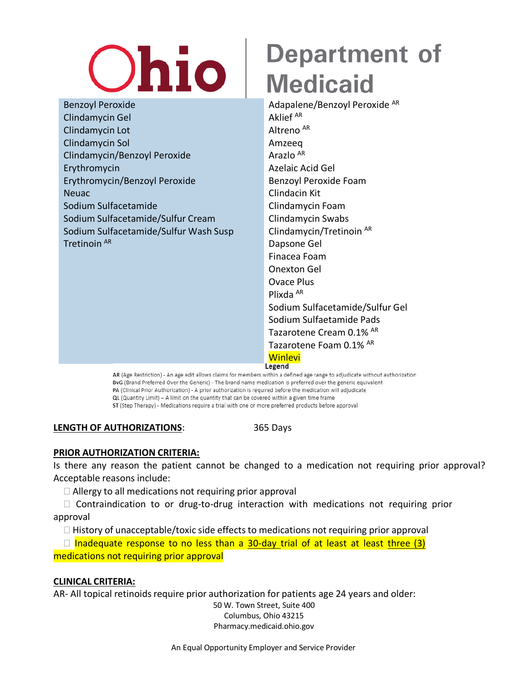# **Ohio**

Benzoyl Peroxide Adapalene/Benzoyl Peroxide AR Clindamycin Gel Aklief AR Clindamycin Lot Altreno AR Clindamycin Sol Amzeeq Clindamycin/Benzoyl Peroxide Arazlo AR Erythromycin Azelaic Acid Gel Erythromycin/Benzoyl Peroxide Benzoyl Peroxide Foam Neuac Clindacin Kit Sodium Sulfacetamide Clindamycin Foam Sodium Sulfacetamide/Sulfur Cream Clindamycin Swabs Sodium Sulfacetamide/Sulfur Wash Susp Clindamycin/Tretinoin AR Tretinoin AR Dapsone Gel

## **Department of Medicaid**

Finacea Foam Onexton Gel Ovace Plus Plixda AR Sodium Sulfacetamide/Sulfur Gel Sodium Sulfaetamide Pads Tazarotene Cream 0.1% AR Tazarotene Foam 0.1% AR <mark>Winlevi</mark><br>Legend

AR (Age Restriction) - An age edit allows claims for members within a defined age range to adjudicate without authorization BvG (Brand Preferred Over the Generic) - The brand name medication is preferred over the generic equivalent PA (Clinical Prior Authorization) - A prior authorization is required before the medication will adjudicate QL (Quantity Limit) - A limit on the quantity that can be covered within a given time frame ST (Step Therapy) - Medications require a trial with one or more preferred products before approval

**LENGTH OF AUTHORIZATIONS**: 365 Days

### **PRIOR AUTHORIZATION CRITERIA:**

Is there any reason the patient cannot be changed to a medication not requiring prior approval? Acceptable reasons include:

 $\Box$  Allergy to all medications not requiring prior approval

 $\Box$  Contraindication to or drug-to-drug interaction with medications not requiring prior approval

 $\Box$  History of unacceptable/toxic side effects to medications not requiring prior approval

 $\Box$  Inadequate response to no less than a 30-day trial of at least at least three (3) medications not requiring prior approval

### **CLINICAL CRITERIA:**

AR- All topical retinoids require prior authorization for patients age 24 years and older: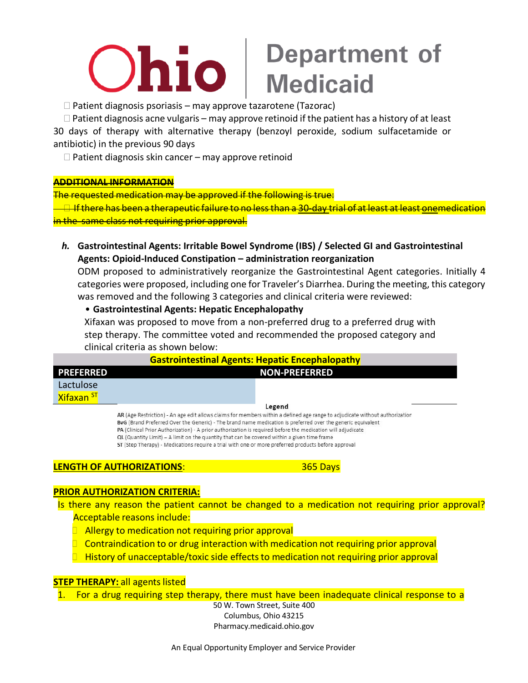## **Department of<br>Medicaid** <u>Ohio</u>

 $\Box$  Patient diagnosis psoriasis – may approve tazarotene (Tazorac)

 $\Box$  Patient diagnosis acne vulgaris – may approve retinoid if the patient has a history of at least 30 days of therapy with alternative therapy (benzoyl peroxide, sodium sulfacetamide or antibiotic) in the previous 90 days

 $\Box$  Patient diagnosis skin cancer – may approve retinoid

### **ADDITIONAL INFORMATION**

The requested medication may be approved if the following is true:

 $\overline{\phantom{a}}$  If there has been a therapeutic failure to no less than a 30-day trial of at least at least onemedication in the same class not requiring prior approval.

*h.* **Gastrointestinal Agents: Irritable Bowel Syndrome (IBS) / Selected GI and Gastrointestinal Agents: Opioid-Induced Constipation – administration reorganization**

ODM proposed to administratively reorganize the Gastrointestinal Agent categories. Initially 4 categories were proposed, including one for Traveler's Diarrhea. During the meeting, this category was removed and the following 3 categories and clinical criteria were reviewed:

• **Gastrointestinal Agents: Hepatic Encephalopathy**

Xifaxan was proposed to move from a non-preferred drug to a preferred drug with step therapy. The committee voted and recommended the proposed category and clinical criteria as shown below:

| <b>Gastrointestinal Agents: Hepatic Encephalopathy</b> |                                                                                                                             |  |  |
|--------------------------------------------------------|-----------------------------------------------------------------------------------------------------------------------------|--|--|
| <b>PREFERRED</b>                                       | <b>NON-PREFERRED</b>                                                                                                        |  |  |
| Lactulose                                              |                                                                                                                             |  |  |
| <b>Xifaxan ST</b>                                      |                                                                                                                             |  |  |
|                                                        | Legend                                                                                                                      |  |  |
|                                                        | AR (Age Restriction) - An age edit allows claims for members within a defined age range to adjudicate without authorization |  |  |
|                                                        | BvG (Brand Preferred Over the Generic) - The brand name medication is preferred over the generic equivalent                 |  |  |
|                                                        | PA (Clinical Prior Authorization) - A prior authorization is required before the medication will adjudicate                 |  |  |
|                                                        | QL (Quantity Limit) - A limit on the quantity that can be covered within a given time frame                                 |  |  |
|                                                        | ST (Step Therapy) - Medications require a trial with one or more preferred products before approval                         |  |  |
|                                                        |                                                                                                                             |  |  |

### **LENGTH OF AUTHORIZATIONS**: 365 Days

### **PRIOR AUTHORIZATION CRITERIA:**

Is there any reason the patient cannot be changed to a medication not requiring prior approval? Acceptable reasons include:

- $\Box$  Allergy to medication not requiring prior approval
- $\Box$  Contraindication to or drug interaction with medication not requiring prior approval
- $\Box$  History of unacceptable/toxic side effects to medication not requiring prior approval

### **STEP THERAPY: all agents listed**

1. For a drug requiring step therapy, there must have been inadequate clinical response to a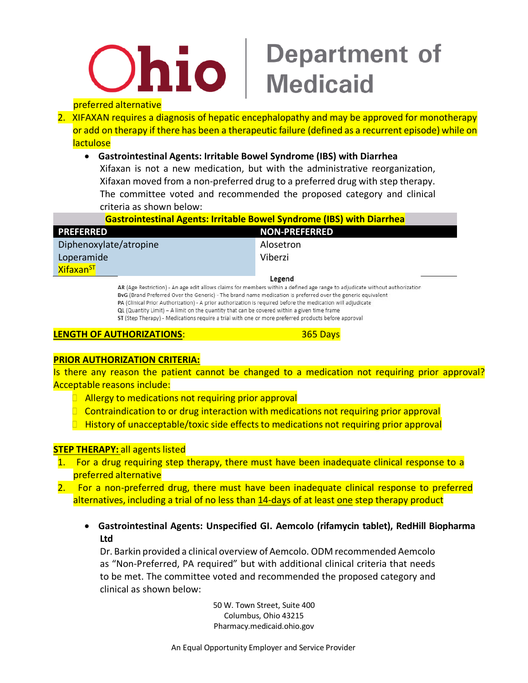

### preferred alternative

2. XIFAXAN requires a diagnosis of hepatic encephalopathy and may be approved for monotherapy or add on therapy if there has been a therapeutic failure (defined as a recurrent episode) while on **lactulose** 

### • **Gastrointestinal Agents: Irritable Bowel Syndrome (IBS) with Diarrhea**

Xifaxan is not a new medication, but with the administrative reorganization, Xifaxan moved from a non-preferred drug to a preferred drug with step therapy. The committee voted and recommended the proposed category and clinical criteria as shown below:

| <b>Gastrointestinal Agents: Irritable Bowel Syndrome (IBS) with Diarrhea</b>                                                          |                      |
|---------------------------------------------------------------------------------------------------------------------------------------|----------------------|
| <b>PREFERRED</b>                                                                                                                      | <b>NON-PREFERRED</b> |
| Diphenoxylate/atropine                                                                                                                | Alosetron            |
| Loperamide                                                                                                                            | Viberzi              |
| Xifaxan <sup>ST</sup>                                                                                                                 |                      |
| Legend<br>AR (Age Restriction) - An age edit allows claims for members within a defined age range to adjudicate without authorization |                      |

BvG (Brand Preferred Over the Generic) - The brand name medication is preferred over the generic equivalent PA (Clinical Prior Authorization) - A prior authorization is required before the medication will adjudicate QL (Quantity Limit) - A limit on the quantity that can be covered within a given time frame ST (Step Therapy) - Medications require a trial with one or more preferred products before approval

### **LENGTH OF AUTHORIZATIONS**: 365 Days

### **PRIOR AUTHORIZATION CRITERIA:**

Is there any reason the patient cannot be changed to a medication not requiring prior approval? Acceptable reasons include:

- $\Box$  Allergy to medications not requiring prior approval
- $\Box$  Contraindication to or drug interaction with medications not requiring prior approval
- $\Box$  History of unacceptable/toxic side effects to medications not requiring prior approval

### **STEP THERAPY: all agents listed**

- 1. For a drug requiring step therapy, there must have been inadequate clinical response to a preferred alternative
- 2. For a non-preferred drug, there must have been inadequate clinical response to preferred alternatives, including a trial of no less than 14-days of at least one step therapy product
	- **Gastrointestinal Agents: Unspecified GI. Aemcolo (rifamycin tablet), RedHill Biopharma Ltd**

Dr. Barkin provided a clinical overview of Aemcolo. ODM recommended Aemcolo as "Non-Preferred, PA required" but with additional clinical criteria that needs to be met. The committee voted and recommended the proposed category and clinical as shown below: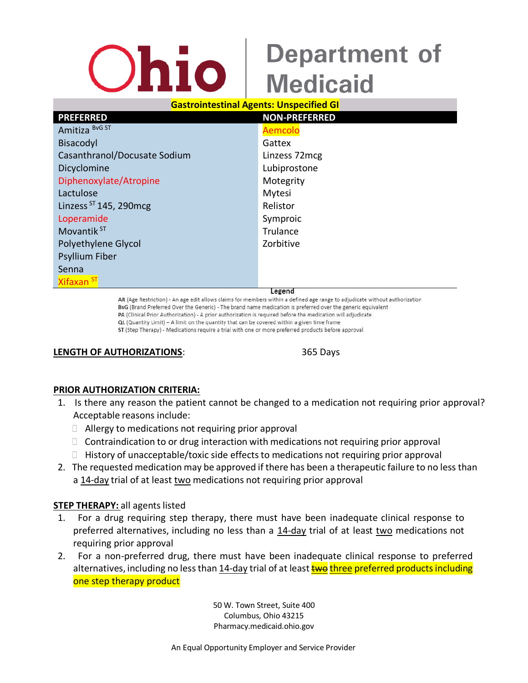### **Gastrointestinal Agents: Unspecified GI**

| <b>PREFERRED</b>             | <b>NON-PREFERRED</b> |
|------------------------------|----------------------|
| Amitiza BvG ST               | Aemcolo              |
| Bisacodyl                    | Gattex               |
| Casanthranol/Docusate Sodium | Linzess 72mcg        |
| Dicyclomine                  | Lubiprostone         |
| Diphenoxylate/Atropine       | Motegrity            |
| Lactulose                    | Mytesi               |
| Linzess $ST$ 145, 290 mcg    | Relistor             |
| Loperamide                   | Symproic             |
| Movantik <sup>ST</sup>       | Trulance             |
| Polyethylene Glycol          | Zorbitive            |
| <b>Psyllium Fiber</b>        |                      |
| Senna                        |                      |
| Xifaxan <sup>ST</sup>        |                      |
|                              | egend                |

AR (Age Restriction) - An age edit allows claims for members within a defined age range to adjudicate without authorization BvG (Brand Preferred Over the Generic) - The brand name medication is preferred over the generic equivalent PA (Clinical Prior Authorization) - A prior authorization is required before the medication will adjudicate QL (Quantity Limit) - A limit on the quantity that can be covered within a given time frame ST (Step Therapy) - Medications require a trial with one or more preferred products before approval

#### **LENGTH OF AUTHORIZATIONS**: 365 Days

### **PRIOR AUTHORIZATION CRITERIA:**

- 1. Is there any reason the patient cannot be changed to a medication not requiring prior approval? Acceptable reasons include:
	- $\Box$  Allergy to medications not requiring prior approval
	- $\Box$  Contraindication to or drug interaction with medications not requiring prior approval
	- $\Box$  History of unacceptable/toxic side effects to medications not requiring prior approval
- 2. The requested medication may be approved if there has been a therapeutic failure to no less than a 14-day trial of at least two medications not requiring prior approval

### **STEP THERAPY:** all agents listed

- 1. For a drug requiring step therapy, there must have been inadequate clinical response to preferred alternatives, including no less than a 14-day trial of at least two medications not requiring prior approval
- 2. For a non-preferred drug, there must have been inadequate clinical response to preferred alternatives, including no less than 14-day trial of at least **two three preferred products including** one step therapy product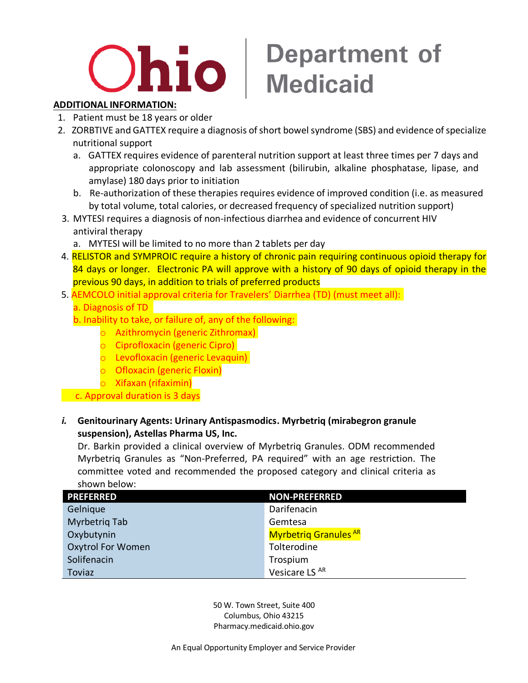# Ohio

## **Department of Medicaid**

### **ADDITIONAL INFORMATION:**

- 1. Patient must be 18 years or older
- 2. ZORBTIVE and GATTEX require a diagnosis of short bowelsyndrome (SBS) and evidence of specialize nutritional support
	- a. GATTEX requires evidence of parenteral nutrition support at least three times per 7 days and appropriate colonoscopy and lab assessment (bilirubin, alkaline phosphatase, lipase, and amylase) 180 days prior to initiation
	- b. Re-authorization of these therapies requires evidence of improved condition (i.e. as measured by total volume, total calories, or decreased frequency of specialized nutrition support)
- 3. MYTESI requires a diagnosis of non-infectious diarrhea and evidence of concurrent HIV antiviral therapy
	- a. MYTESI will be limited to no more than 2 tablets per day
- 4. RELISTOR and SYMPROIC require a history of chronic pain requiring continuous opioid therapy for 84 days or longer. Electronic PA will approve with a history of 90 days of opioid therapy in the previous 90 days, in addition to trials of preferred products
- 5. AEMCOLO initial approval criteria for Travelers' Diarrhea (TD) (must meet all): a. Diagnosis of TD
	- b. Inability to take, or failure of, any of the following:
		- o Azithromycin (generic Zithromax)
		- o Ciprofloxacin (generic Cipro)
		- o Levofloxacin (generic Levaquin)
		- o Ofloxacin (generic Floxin)
		- o Xifaxan (rifaximin)

c. Approval duration is 3 days

### *i.* **Genitourinary Agents: Urinary Antispasmodics. Myrbetriq (mirabegron granule suspension), Astellas Pharma US, Inc.**

Dr. Barkin provided a clinical overview of Myrbetriq Granules. ODM recommended Myrbetriq Granules as "Non-Preferred, PA required" with an age restriction. The committee voted and recommended the proposed category and clinical criteria as shown below:

| <b>PREFERRED</b>         | <b>NON-PREFERRED</b>         |
|--------------------------|------------------------------|
| Gelnique                 | Darifenacin                  |
| <b>Myrbetrig Tab</b>     | Gemtesa                      |
| Oxybutynin               | <b>Myrbetrig Granules AR</b> |
| <b>Oxytrol For Women</b> | Tolterodine                  |
| Solifenacin              | Trospium                     |
| <b>Toviaz</b>            | Vesicare LS AR               |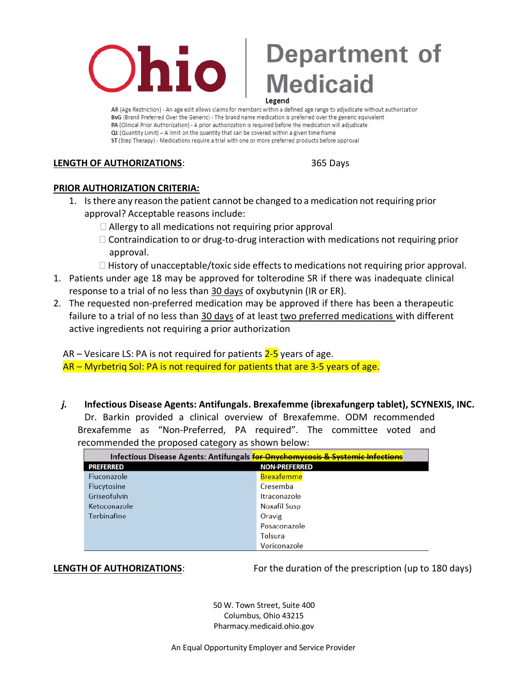

AR (Age Restriction) - An age edit allows claims for members within a defined age range to adjudicate without authorization BvG (Brand Preferred Over the Generic) - The brand name medication is preferred over the generic equivalent PA (Clinical Prior Authorization) - A prior authorization is required before the medication will adjudicate QL (Quantity Limit) - A limit on the quantity that can be covered within a given time frame ST (Step Therapy) - Medications require a trial with one or more preferred products before approval

### **LENGTH OF AUTHORIZATIONS**: 365 Days

### **PRIOR AUTHORIZATION CRITERIA:**

- 1. Isthere any reason the patient cannot be changed to a medication not requiring prior approval? Acceptable reasons include:
	- $\Box$  Allergy to all medications not requiring prior approval
	- $\Box$  Contraindication to or drug-to-drug interaction with medications not requiring prior approval.
	- $\Box$  History of unacceptable/toxic side effects to medications not requiring prior approval.
- 1. Patients under age 18 may be approved for tolterodine SR if there was inadequate clinical response to a trial of no less than 30 days of oxybutynin (IR or ER).
- 2. The requested non-preferred medication may be approved if there has been a therapeutic failure to a trial of no less than 30 days of at least two preferred medications with different active ingredients not requiring a prior authorization

AR – Vesicare LS: PA is not required for patients  $2-5$  years of age.  $AR - Myr$  betrig Sol: PA is not required for patients that are 3-5 years of age.

*j.* **Infectious Disease Agents: Antifungals. Brexafemme (ibrexafungerp tablet), SCYNEXIS, INC.** Dr. Barkin provided a clinical overview of Brexafemme. ODM recommended Brexafemme as "Non-Preferred, PA required". The committee voted and recommended the proposed category as shown below:

| Infectious Disease Agents: Antifungals for Onychomycosis & Systemic Infections |                      |
|--------------------------------------------------------------------------------|----------------------|
| PREFERRED                                                                      | <b>NON-PREFERRED</b> |
| Fluconazole                                                                    | <b>Brexafemme</b>    |
| Flucytosine                                                                    | Cresemba             |
| Griseofulvin                                                                   | Itraconazole         |
| Ketoconazole                                                                   | Noxafil Susp         |
| Terbinafine                                                                    | Oravig               |
|                                                                                | Posaconazole         |
|                                                                                | Tolsura              |
|                                                                                | Voriconazole         |

**LENGTH OF AUTHORIZATIONS**: For the duration of the prescription (up to 180 days)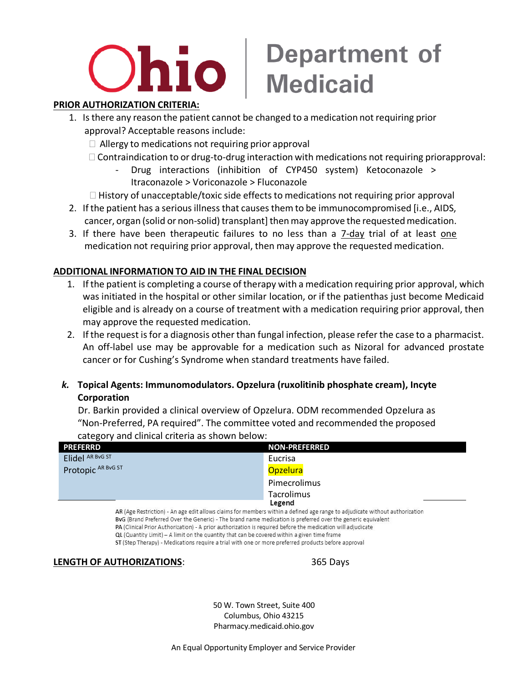## **Ohio** I

## **Department of Medicaid**

### **PRIOR AUTHORIZATION CRITERIA:**

- 1. Isthere any reason the patient cannot be changed to a medication not requiring prior approval? Acceptable reasons include:
	- $\Box$  Allergy to medications not requiring prior approval
	- $\Box$  Contraindication to or drug-to-drug interaction with medications not requiring priorapproval:
		- Drug interactions (inhibition of CYP450 system) Ketoconazole > Itraconazole > Voriconazole > Fluconazole
	- $\Box$  History of unacceptable/toxic side effects to medications not requiring prior approval
- 2. If the patient has a serious illness that causes them to be immunocompromised [i.e., AIDS, cancer, organ (solid or non-solid) transplant] then may approve the requested medication.
- 3. If there have been therapeutic failures to no less than a 7-day trial of at least one medication not requiring prior approval, then may approve the requested medication.

### **ADDITIONAL INFORMATION TO AID IN THE FINAL DECISION**

- 1. If the patient is completing a course of therapy with a medication requiring prior approval, which was initiated in the hospital or other similar location, or if the patienthas just become Medicaid eligible and is already on a course of treatment with a medication requiring prior approval, then may approve the requested medication.
- 2. If the request is for a diagnosis other than fungal infection, please refer the case to a pharmacist. An off-label use may be approvable for a medication such as Nizoral for advanced prostate cancer or for Cushing's Syndrome when standard treatments have failed.
- *k.* **Topical Agents: Immunomodulators. Opzelura (ruxolitinib phosphate cream), Incyte Corporation**

Dr. Barkin provided a clinical overview of Opzelura. ODM recommended Opzelura as "Non-Preferred, PA required". The committee voted and recommended the proposed category and clinical criteria as shown below:

| <b>PREFERRD</b>                                                                                                                                     | <b>NON-PREFERRED</b>                                                                                                                                                    |
|-----------------------------------------------------------------------------------------------------------------------------------------------------|-------------------------------------------------------------------------------------------------------------------------------------------------------------------------|
| Elidel AR BVG ST                                                                                                                                    | Eucrisa                                                                                                                                                                 |
| Protopic AR BVG ST                                                                                                                                  | <b>Opzelura</b>                                                                                                                                                         |
|                                                                                                                                                     | Pimecrolimus                                                                                                                                                            |
|                                                                                                                                                     | Tacrolimus                                                                                                                                                              |
| 분간 개인 이 선생님께서 이 사람들이 없는 사람이 없었다.<br>the contract of the contract of the contract of the contract of the contract of the contract of the contract of | Legend<br>[발표 - 개발선 - 2월 - 개발 - 10일 - 10일 - 10일 - 12월 - 12월 - 12월 - 12월 - 12월 - 12월 - 12월 - 12월 - 12월 - 12월 - 12월 - 12월<br>$\cdots$ $\cdots$ $\cdots$ $\cdots$ $\cdots$ |

AR (Age Restriction) - An age edit allows claims for members within a defined age range to adjudicate without authorization BvG (Brand Preferred Over the Generic) - The brand name medication is preferred over the generic equivalent PA (Clinical Prior Authorization) - A prior authorization is required before the medication will adjudicate QL (Quantity Limit) - A limit on the quantity that can be covered within a given time frame ST (Step Therapy) - Medications require a trial with one or more preferred products before approval

### **LENGTH OF AUTHORIZATIONS**: 365 Days

50 W. Town Street, Suite 400 Columbus, Ohio 43215 Pharmacy.medicaid.ohio.gov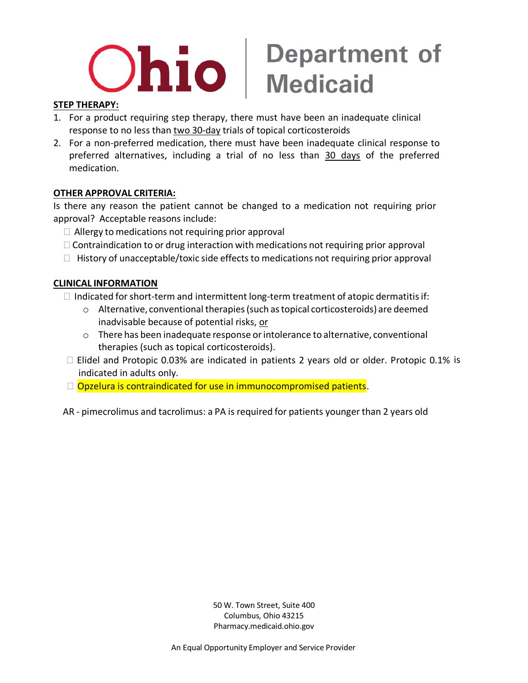# $\mathbf{D}$   $\mathbf{ho}$  | Department of

### **STEP THERAPY:**

- 1. For a product requiring step therapy, there must have been an inadequate clinical response to no less than two 30-day trials of topical corticosteroids
- 2. For a non-preferred medication, there must have been inadequate clinical response to preferred alternatives, including a trial of no less than 30 days of the preferred medication.

### **OTHER APPROVAL CRITERIA:**

Is there any reason the patient cannot be changed to a medication not requiring prior approval? Acceptable reasons include:

- $\Box$  Allergy to medications not requiring prior approval
- $\Box$  Contraindication to or drug interaction with medications not requiring prior approval
- $\Box$  History of unacceptable/toxic side effects to medications not requiring prior approval

### **CLINICAL INFORMATION**

- $\Box$  Indicated for short-term and intermittent long-term treatment of atopic dermatitis if:
	- $\circ$  Alternative, conventional therapies (such as topical corticosteroids) are deemed inadvisable because of potential risks, or
	- $\circ$  There has been inadequate response or intolerance to alternative, conventional therapies (such as topical corticosteroids).
- Elidel and Protopic 0.03% are indicated in patients 2 years old or older. Protopic 0.1% is indicated in adults only.
- $\Box$  Opzelura is contraindicated for use in immunocompromised patients.

AR - pimecrolimus and tacrolimus: a PA is required for patients younger than 2 years old

50 W. Town Street, Suite 400 Columbus, Ohio 43215 Pharmacy.medicaid.ohio.gov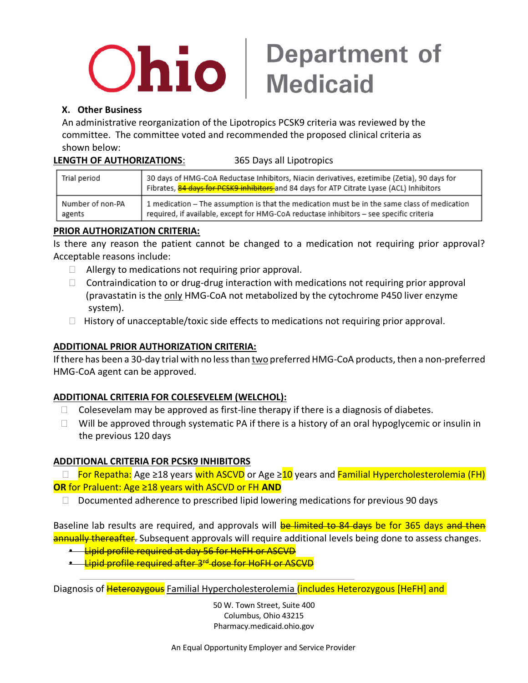# $O$ hio  $\vert$  Department of

### **X. Other Business**

An administrative reorganization of the Lipotropics PCSK9 criteria was reviewed by the committee. The committee voted and recommended the proposed clinical criteria as shown below:

### **LENGTH OF AUTHORIZATIONS**: 365 Days all Lipotropics

| Trial period     | 30 days of HMG-CoA Reductase Inhibitors, Niacin derivatives, ezetimibe (Zetia), 90 days for<br>Fibrates, 84 days for PCSK9 inhibitors and 84 days for ATP Citrate Lyase (ACL) Inhibitors |
|------------------|------------------------------------------------------------------------------------------------------------------------------------------------------------------------------------------|
| Number of non-PA | 1 medication - The assumption is that the medication must be in the same class of medication                                                                                             |
| agents           | required, if available, except for HMG-CoA reductase inhibitors - see specific criteria                                                                                                  |

### **PRIOR AUTHORIZATION CRITERIA:**

Is there any reason the patient cannot be changed to a medication not requiring prior approval? Acceptable reasons include:

- $\Box$  Allergy to medications not requiring prior approval.
- $\Box$  Contraindication to or drug-drug interaction with medications not requiring prior approval (pravastatin is the only HMG-CoA not metabolized by the cytochrome P450 liver enzyme system).
- $\Box$  History of unacceptable/toxic side effects to medications not requiring prior approval.

### **ADDITIONAL PRIOR AUTHORIZATION CRITERIA:**

If there has been a 30-day trial with no less than two preferred HMG-CoA products, then a non-preferred HMG-CoA agent can be approved.

### **ADDITIONAL CRITERIA FOR COLESEVELEM (WELCHOL):**

- $\Box$  Colesevelam may be approved as first-line therapy if there is a diagnosis of diabetes.
- $\Box$  Will be approved through systematic PA if there is a history of an oral hypoglycemic or insulin in the previous 120 days

### **ADDITIONAL CRITERIA FOR PCSK9 INHIBITORS**

 $\Box$  For Repatha: Age ≥18 years with ASCVD or Age ≥10 years and Familial Hypercholesterolemia (FH) **OR** for Praluent: Age ≥18 years with ASCVD or FH **AND**

 $\Box$  Documented adherence to prescribed lipid lowering medications for previous 90 days

Baseline lab results are required, and approvals will **be limited to 84 days be for 365 days and then** an and the thereafter. Subsequent approvals will require additional levels being done to assess changes.

**•** Lipid profile required at day 56 for HeFH or ASCVD

**•** Lipid profile required after 3<sup>rd</sup> dose for HoFH or ASCVD

Diagnosis of Heterozygous Familial Hypercholesterolemia (includes Heterozygous [HeFH] and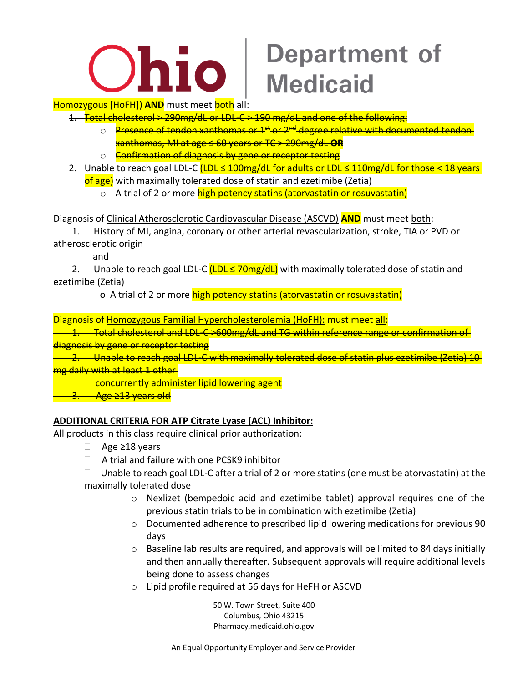

**Homozygous [HoFH]) AND** must meet **both** all:

- 1. Total cholesterol > 290mg/dL or LDL-C > 190 mg/dL and one of the following:
	- $\Theta$  Presence of tendon xanthomas or 1<sup>st</sup> or 2<sup>nd</sup> degree relative with documented tendon xanthomas, MI at age ≤ 60 years or TC > 290mg/dL **OR**
	- o **Confirmation of diagnosis by gene or receptor testing**
- 2. Unable to reach goal LDL-C (LDL ≤ 100mg/dL for adults or LDL ≤ 110mg/dL for those < 18 years of age) with maximally tolerated dose of statin and ezetimibe (Zetia)
	- o A trial of 2 or more high potency statins (atorvastatin or rosuvastatin)

Diagnosis of Clinical Atherosclerotic Cardiovascular Disease (ASCVD) **AND** must meet both:

 1. History of MI, angina, coronary or other arterial revascularization, stroke, TIA or PVD or atherosclerotic origin

and

2. Unable to reach goal LDL-C  $(LDL \le 70mg/dL)$  with maximally tolerated dose of statin and ezetimibe (Zetia)

o A trial of 2 or more high potency statins (atorvastatin or rosuvastatin)

Diagnosis of Homozygous Familial Hypercholesterolemia (HoFH): must meet all:

1. Total cholesterol and LDL-C >600mg/dL and TG within reference range or confirmation of diagnosis by gene or receptor testing

2. Unable to reach goal LDL-C with maximally tolerated dose of statin plus ezetimibe (Zetia) 10 mg daily with at least 1 other

concurrently administer lipid lowering agent

<mark>3. Age ≥13 years old</mark>

### **ADDITIONAL CRITERIA FOR ATP Citrate Lyase (ACL) Inhibitor:**

All products in this class require clinical prior authorization:

- Age ≥18 years
- $\Box$  A trial and failure with one PCSK9 inhibitor
- $\Box$  Unable to reach goal LDL-C after a trial of 2 or more statins (one must be atorvastatin) at the maximally tolerated dose
	- o Nexlizet (bempedoic acid and ezetimibe tablet) approval requires one of the previous statin trials to be in combination with ezetimibe (Zetia)
	- o Documented adherence to prescribed lipid lowering medications for previous 90 days
	- $\circ$  Baseline lab results are required, and approvals will be limited to 84 days initially and then annually thereafter. Subsequent approvals will require additional levels being done to assess changes
	- o Lipid profile required at 56 days for HeFH or ASCVD